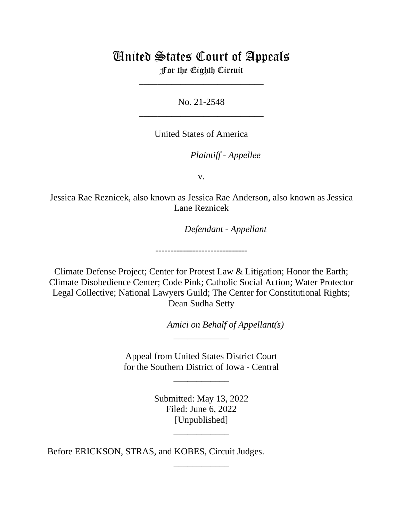## United States Court of Appeals

For the Eighth Circuit \_\_\_\_\_\_\_\_\_\_\_\_\_\_\_\_\_\_\_\_\_\_\_\_\_\_\_

No. 21-2548 \_\_\_\_\_\_\_\_\_\_\_\_\_\_\_\_\_\_\_\_\_\_\_\_\_\_\_

United States of America

*Plaintiff - Appellee*

v.

Jessica Rae Reznicek, also known as Jessica Rae Anderson, also known as Jessica Lane Reznicek

*Defendant - Appellant*

Climate Defense Project; Center for Protest Law & Litigation; Honor the Earth; Climate Disobedience Center; Code Pink; Catholic Social Action; Water Protector Legal Collective; National Lawyers Guild; The Center for Constitutional Rights; Dean Sudha Setty

------------------------------

*Amici on Behalf of Appellant(s)*

Appeal from United States District Court for the Southern District of Iowa - Central

\_\_\_\_\_\_\_\_\_\_\_\_

\_\_\_\_\_\_\_\_\_\_\_\_

Submitted: May 13, 2022 Filed: June 6, 2022 [Unpublished]

\_\_\_\_\_\_\_\_\_\_\_\_

\_\_\_\_\_\_\_\_\_\_\_\_

Before ERICKSON, STRAS, and KOBES, Circuit Judges.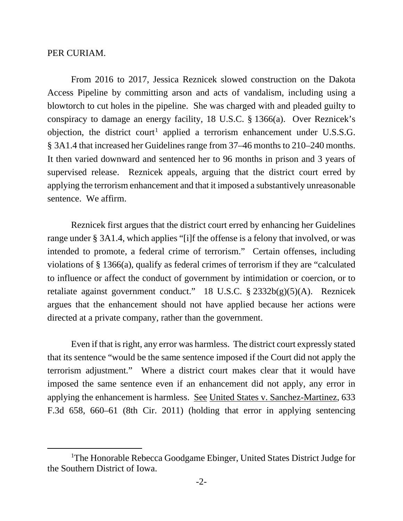## PER CURIAM.

From 2016 to 2017, Jessica Reznicek slowed construction on the Dakota Access Pipeline by committing arson and acts of vandalism, including using a blowtorch to cut holes in the pipeline. She was charged with and pleaded guilty to conspiracy to damage an energy facility, 18 U.S.C. § 1366(a). Over Reznicek's objection, the district court<sup>[1](#page-1-0)</sup> applied a terrorism enhancement under U.S.S.G. § 3A1.4 that increased her Guidelines range from 37–46 months to 210–240 months. It then varied downward and sentenced her to 96 months in prison and 3 years of supervised release. Reznicek appeals, arguing that the district court erred by applying the terrorism enhancement and that it imposed a substantively unreasonable sentence. We affirm.

Reznicek first argues that the district court erred by enhancing her Guidelines range under § 3A1.4, which applies "[i]f the offense is a felony that involved, or was intended to promote, a federal crime of terrorism." Certain offenses, including violations of § 1366(a), qualify as federal crimes of terrorism if they are "calculated to influence or affect the conduct of government by intimidation or coercion, or to retaliate against government conduct." 18 U.S.C. § 2332b(g)(5)(A). Reznicek argues that the enhancement should not have applied because her actions were directed at a private company, rather than the government.

 Even if that is right, any error was harmless. The district court expressly stated that its sentence "would be the same sentence imposed if the Court did not apply the terrorism adjustment." Where a district court makes clear that it would have imposed the same sentence even if an enhancement did not apply, any error in applying the enhancement is harmless. See United States v. Sanchez-Martinez, 633 F.3d 658, 660–61 (8th Cir. 2011) (holding that error in applying sentencing

<span id="page-1-0"></span><sup>&</sup>lt;sup>1</sup>The Honorable Rebecca Goodgame Ebinger, United States District Judge for the Southern District of Iowa.